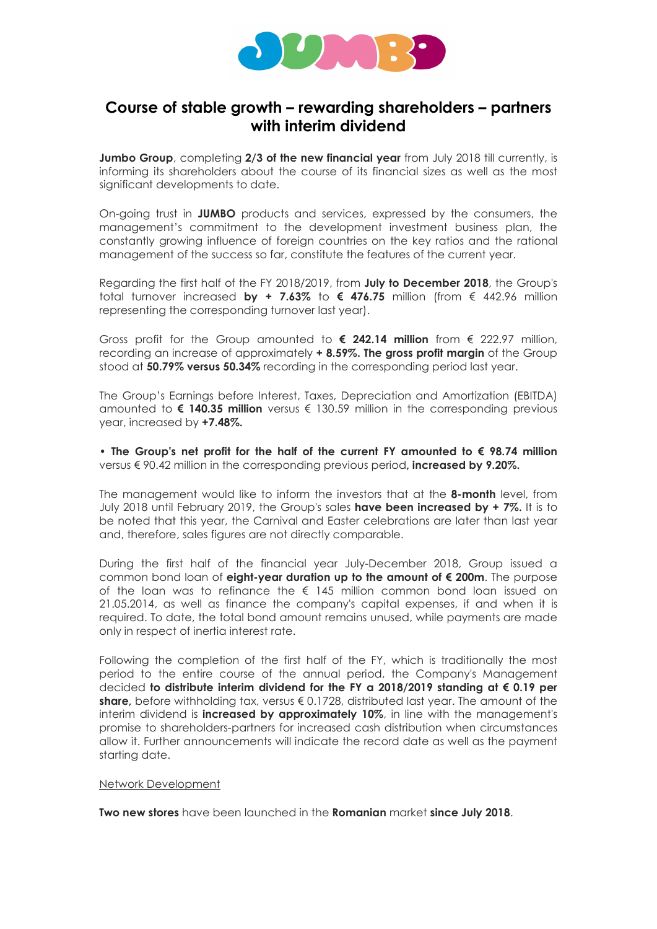

## Course of stable growth – rewarding shareholders – partners with interim dividend

Jumbo Group, completing 2/3 of the new financial year from July 2018 till currently, is informing its shareholders about the course of its financial sizes as well as the most significant developments to date.

On-going trust in JUMBO products and services, expressed by the consumers, the management's commitment to the development investment business plan, the constantly growing influence of foreign countries on the key ratios and the rational management of the success so far, constitute the features of the current year.

Regarding the first half of the FY 2018/2019, from July to December 2018, the Group's total turnover increased by + 7.63% to  $\epsilon$  476.75 million (from  $\epsilon$  442.96 million representing the corresponding turnover last year).

Gross profit for the Group amounted to  $\epsilon$  242.14 million from  $\epsilon$  222.97 million, recording an increase of approximately + 8.59%. The gross profit margin of the Group stood at 50.79% versus 50.34% recording in the corresponding period last year.

The Group's Earnings before Interest, Taxes, Depreciation and Amortization (EBITDA) amounted to  $\epsilon$  140.35 million versus  $\epsilon$  130.59 million in the corresponding previous year, increased by +7.48%.

• The Group's net profit for the half of the current FY amounted to  $\epsilon$  98.74 million versus € 90.42 million in the corresponding previous period, **increased by 9.20%.** 

The management would like to inform the investors that at the 8-month level, from July 2018 until February 2019, the Group's sales **have been increased by + 7%.** It is to be noted that this year, the Carnival and Easter celebrations are later than last year and, therefore, sales figures are not directly comparable.

During the first half of the financial year July-December 2018, Group issued a common bond loan of eight-year duration up to the amount of € 200m. The purpose of the loan was to refinance the  $\epsilon$  145 million common bond loan issued on 21.05.2014, as well as finance the company's capital expenses, if and when it is required. To date, the total bond amount remains unused, while payments are made only in respect of inertia interest rate.

Following the completion of the first half of the FY, which is traditionally the most period to the entire course of the annual period, the Company's Management decided to distribute interim dividend for the FY a 2018/2019 standing at € 0.19 per share, before withholding tax, versus  $\epsilon$  0.1728, distributed last year. The amount of the interim dividend is **increased by approximately 10%**, in line with the management's promise to shareholders-partners for increased cash distribution when circumstances allow it. Further announcements will indicate the record date as well as the payment starting date.

## Network Development

Two new stores have been launched in the Romanian market since July 2018.